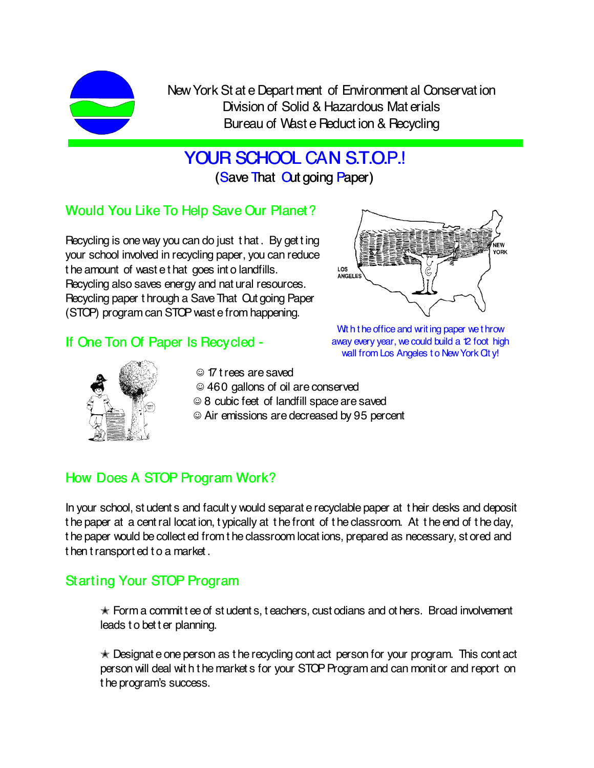

New York St at e Depart ment of Environment al Conservat ion Division of Solid & Hazardous Mat erials Bureau of Wast e Reduct ion & Recycling

# YOUR SCHOOL CAN S.T.O.P.!

(Save That Out going Paper)

## Would You Like To Help Save Our Planet?

Recycling is one way you can do just t hat . By get t ing your school involved in recycling paper, you can reduce t he amount of wast e t hat goes int o landfills. Recycling also saves energy and nat ural resources. Recycling paper t hrough a Save That Out going Paper (STOP) program can STOP wast e from happening.

## If One Ton Of Paper Is Recycled -



With the office and writing paper we throw away every year, we could build a 12 foot high wall from Los Angeles to New York City!



( 17 t rees are saved

( 460 gallons of oil are conserved

◎ 8 cubic feet of landfill space are saved

( Air emissions are decreased by 95 percent

## How Does A STOP Program Work?

In your school, st udent s and facult y would separat e recyclable paper at t heir desks and deposit t he paper at a cent ral locat ion, t ypically at t he front of t he classroom. At t he end of t he day, t he paper would be collect ed from t he classroom locat ions, prepared as necessary, st ored and t hen t ransport ed t o a market .

## Starting Your STOP Program

 $\star$  Form a commit t ee of st udent s, t eachers, cust odians and ot hers. Broad involvement leads t o bet t er planning.

 $\star$  Designat e one person as t he recycling cont act person for your program. This cont act person will deal wit h t he market s for your STOP Program and can monit or and report on t he program's success.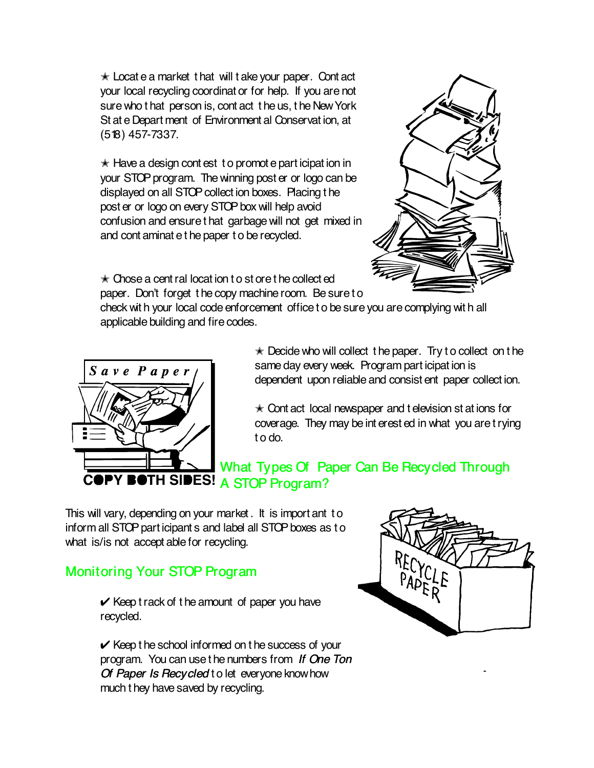$\star$  Locat e a market t hat will t ake your paper. Cont act your local recycling coordinat or for help. If you are not sure who t hat person is, cont act t he us, t he New York St at e Depart ment of Environment al Conservat ion, at (518) 457-7337.

 $\star$  Have a design contest to promote participation in your STOP program. The winning post er or logo can be displayed on all STOP collect ion boxes. Placing t he post er or logo on every STOP box will help avoid confusion and ensure t hat garbage will not get mixed in and cont aminat e t he paper t o be recycled.



 $*$  Chose a cent ral locat ion t o st ore t he collect ed paper. Don't forget the copy machine room. Be sure to

check wit h your local code enforcement office t o be sure you are complying wit h all applicable building and fire codes.



 $\star$  Decide who will collect the paper. Try to collect on the same day every week. Program part icipat ion is dependent upon reliable and consist ent paper collect ion.

 $\star$  Cont act local newspaper and t elevision st at ions for coverage. They may be int erest ed in what you are t rying t o do.

What Types Of Paper Can Be Recycled Through **TH SIDES!** A STOP Program?

This will vary, depending on your market . It is import ant t o inform all STOP part icipant s and label all STOP boxes as t o what is/is not accept able for recycling.

## Monitoring Your STOP Program

 $\mathcal V$  Keep t rack of t he amount of paper you have recycled.

 $\mathcal V$  Keep t he school informed on t he success of your program. You can use t he numbers from *If One Ton Of Paper Is Recycled* t o let everyone know how much t hey have saved by recycling.

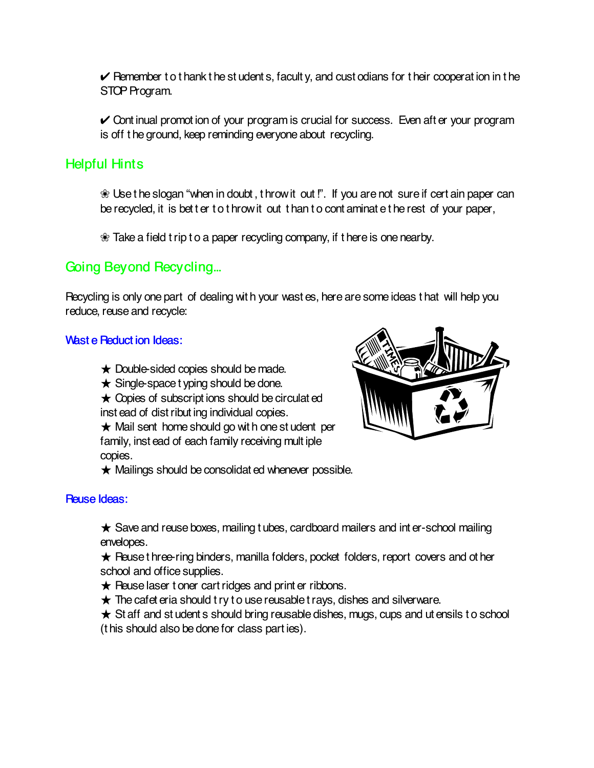$\vee$  Remember to thank the students, faculty, and cust odians for their cooperation in the STOP Program.

 $\vee$  Continual promotion of your program is crucial for success. Even after your program is off t he ground, keep reminding everyone about recycling.

## Helpful Hints

 $\&$  Use the slogan "when in doubt, throw it out!". If you are not sure if certain paper can be recycled, it is better to throw it out than to contaminate the rest of your paper,

 $\circledast$  Take a field t rip t o a paper recycling company, if t here is one nearby.

## Going Beyond Recycling...

Recycling is only one part of dealing wit h your wast es, here are some ideas t hat will help you reduce, reuse and recycle:

#### Wast e Reduct ion Ideas:

- $\star$  Double-sided copies should be made.
- $\star$  Single-space t yping should be done.

 $\star$  Copies of subscriptions should be circulated inst ead of dist ribut ing individual copies.

 $\star$  Mail sent home should go with one student per family, inst ead of each family receiving mult iple copies.



 $\star$  Mailings should be consolidat ed whenever possible.

#### Reuse Ideas:

 $\star$  Save and reuse boxes, mailing t ubes, cardboard mailers and int er-school mailing envelopes.

 $\star$  Peuse t hree-ring binders, manilla folders, pocket folders, report covers and ot her school and office supplies.

- $\star$  Reuse laser t oner cart ridges and print er ribbons.
- $\star$  The cafet eria should t ry t o use reusable t rays, dishes and silverware.

 $\star$  St aff and st udent s should bring reusable dishes, mugs, cups and ut ensils to school (t his should also be done for class part ies).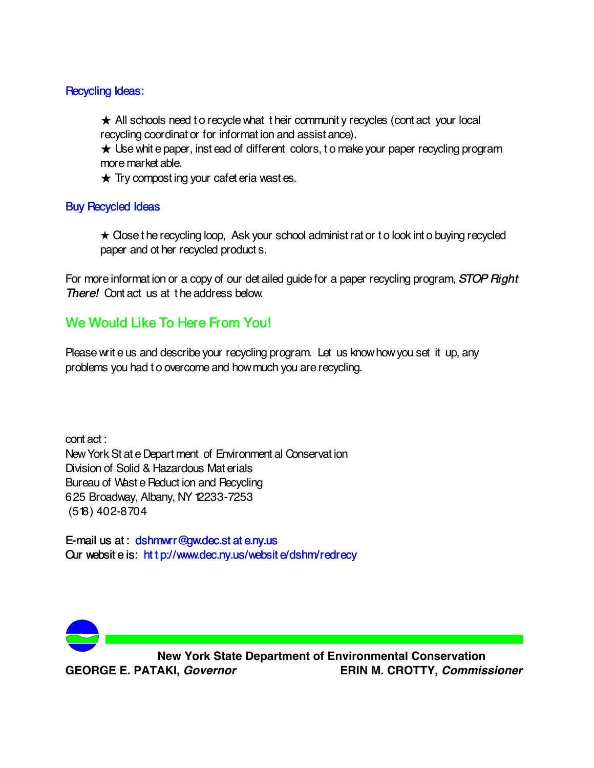#### **Recycling Ideas:**

 $\star$  All schools need to recycle what their community recycles (contact your local recycling coordinat or for informat ion and assist ance).

 $\star$  Use whit e paper, inst ead of different colors, to make your paper recycling program more market able.

 $\star$  Try compost ing your cafet eria wast es.

#### **Buy Recycled Ideas**

 $\star$  Close t he recycling loop, Ask your school administ rat or t o look int o buying recycled paper and ot her recycled product s.

For more information or a copy of our det ailed guide for a paper recycling program, *STOP Right There! There!* Cont act us at t he address below.

## We Would Like To Here From You!

Please writ e us and describe your recycling program. Let us know how you set it up, any problems you had t o overcome and how much you are recycling.

cont act : New York St at e Depart ment of Environment al Conservat ion Division of Solid & Hazardous Mat erials Bureau of Wast e Reduct ion and Recycling 625 Broadway, Albany, NY 12233-7253 (518) 402-8704

E-mail us at : dshmwrr@gw.dec.st at e.ny.us Our websit e is: ht t p://www.dec.ny.us/websit e/dshm/redrecy



 **New York State Department of Environmental Conservation GEORGE E. PATAKI,** *Governor* **ERIN M. CROTTY,** *Commissioner*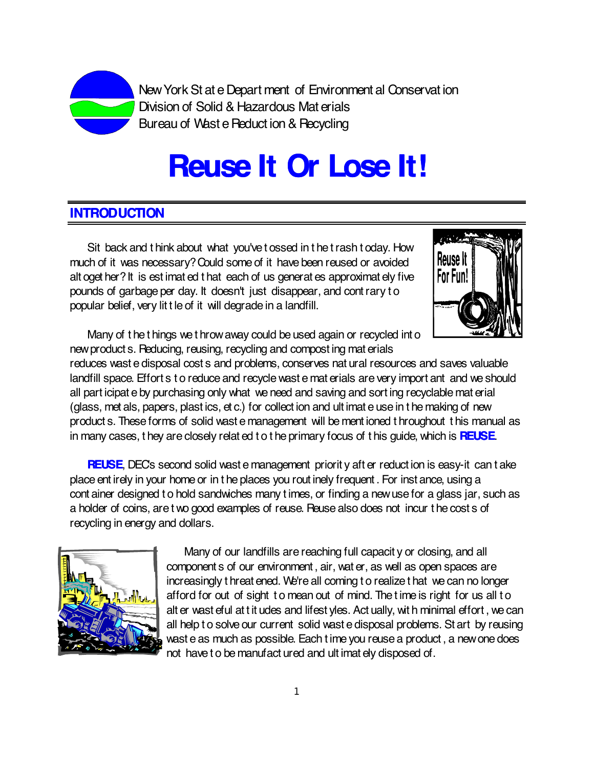

New York St at e Depart ment of Environment al Conservat ion Division of Solid & Hazardous Mat erials Bureau of Wast e Reduct ion & Recycling

# **Reuse It Or Lose It!**

## **INTRODUCTION**

Sit back and t hink about what you've t ossed in t he t rash t oday. How much of it was necessary? Could some of it have been reused or avoided alt oget her? It is est imat ed t hat each of us generat es approximat ely five pounds of garbage per day. It doesn't just disappear, and cont rary t o popular belief, very lit t le of it will degrade in a landfill.



Many of t he t hings we t hrow away could be used again or recycled int o new product s. Reducing, reusing, recycling and compost ing mat erials

reduces wast e disposal cost s and problems, conserves nat ural resources and saves valuable landfill space. Effort s to reduce and recycle wast e mat erials are very import ant and we should all part icipat e by purchasing only what we need and saving and sort ing recyclable mat erial (glass, met als, papers, plast ics, et c.) for collect ion and ult imat e use in t he making of new product s. These forms of solid wast e management will be ment ioned t hroughout t his manual as in many cases, t hey are closely relat ed t o t he primary focus of t his guide, which is **REUSE**.

**REUSE**, DEC's second solid wast e management priorit y aft er reduct ion is easy-it can t ake place ent irely in your home or in t he places you rout inely frequent . For inst ance, using a cont ainer designed t o hold sandwiches many t imes, or finding a new use for a glass jar, such as a holder of coins, are t wo good examples of reuse. Reuse also does not incur t he cost s of recycling in energy and dollars.



Many of our landfills are reaching full capacit y or closing, and all component s of our environment , air, wat er, as well as open spaces are increasingly t hreat ened. We're all coming t o realize t hat we can no longer afford for out of sight t o mean out of mind. The t ime is right for us all t o alt er wast eful at t it udes and lifest yles. Act ually, wit h minimal effort , we can all help t o solve our current solid wast e disposal problems. St art by reusing wast e as much as possible. Each t ime you reuse a product , a new one does not have t o be manufact ured and ult imat ely disposed of.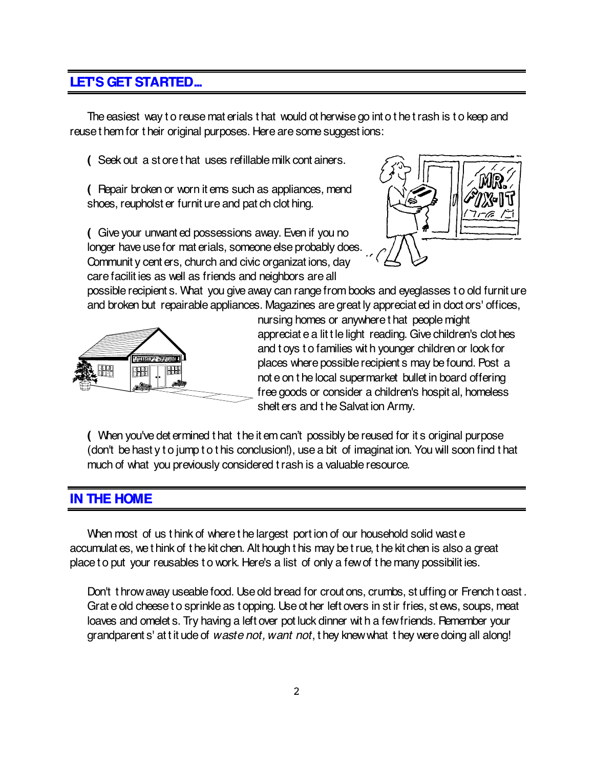#### **LET'S GET STARTED...**

The easiest way t o reuse mat erials t hat would ot herwise go int o t he t rash is t o keep and reuse t hem for t heir original purposes. Here are some suggest ions:

**(** Seek out a st ore t hat uses refillable milk cont ainers.

**(** Repair broken or worn it ems such as appliances, mend shoes, reupholst er furnit ure and pat ch clot hing.

**(** Give your unwant ed possessions away. Even if you no longer have use for mat erials, someone else probably does. Communit y cent ers, church and civic organizat ions, day care facilit ies as well as friends and neighbors are all



possible recipient s. What you give away can range from books and eyeglasses t o old furnit ure and broken but repairable appliances. Magazines are great ly appreciat ed in doct ors' offices,



nursing homes or anywhere t hat people might appreciat e a lit t le light reading. Give children's clot hes and t oys t o families wit h younger children or look for places where possible recipient s may be found. Post a not e on t he local supermarket bullet in board offering free goods or consider a children's hospit al, homeless shelt ers and t he Salvat ion Army.

**(** When you've det ermined t hat t he it em can't possibly be reused for it s original purpose (don't be hast y t o jump t o t his conclusion!), use a bit of imaginat ion. You will soon find t hat much of what you previously considered t rash is a valuable resource.

#### **IN THE HOME**

When most of us t hink of where t he largest port ion of our household solid wast e accumulat es, we t hink of t he kit chen. Alt hough t his may be t rue, t he kit chen is also a great place t o put your reusables t o work. Here's a list of only a few of t he many possibilit ies.

Don't t hrow away useable food. Use old bread for crout ons, crumbs, st uffing or French t oast . Grat e old cheese t o sprinkle as t opping. Use ot her left overs in st ir fries, st ews, soups, meat loaves and omelet s. Try having a left over pot luck dinner wit h a few friends. Remember your grandparent s' at t it ude of *waste not, want not*, t hey knew what t hey were doing all along!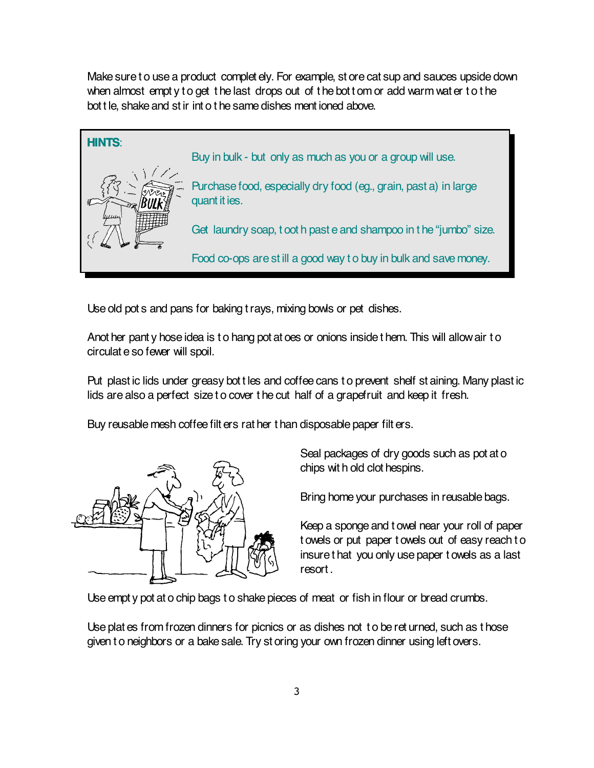Make sure t o use a product complet ely. For example, st ore cat sup and sauces upside down when almost empty to get the last drops out of the bottom or add warm water to the bot t le, shake and st ir int o t he same dishes ment ioned above.



Use old pot s and pans for baking t rays, mixing bowls or pet dishes.

Anot her pant y hose idea is t o hang pot at oes or onions inside t hem. This will allow air t o circulat e so fewer will spoil.

Put plast ic lids under greasy bot t les and coffee cans t o prevent shelf st aining. Many plast ic lids are also a perfect size to cover the cut half of a grapefruit and keep it fresh.

Buy reusable mesh coffee filt ers rat her t han disposable paper filt ers.



Seal packages of dry goods such as pot at o chips wit h old clot hespins.

Bring home your purchases in reusable bags.

Keep a sponge and t owel near your roll of paper t owels or put paper t owels out of easy reach t o insure t hat you only use paper t owels as a last resort .

Use empt y pot at o chip bags t o shake pieces of meat or fish in flour or bread crumbs.

Use plat es from frozen dinners for picnics or as dishes not t o be ret urned, such as t hose given t o neighbors or a bake sale. Try st oring your own frozen dinner using left overs.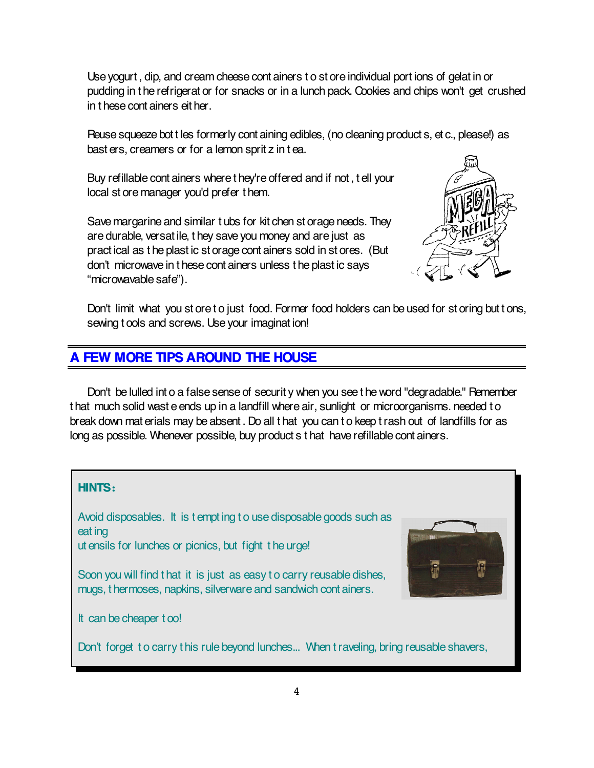Use yogurt , dip, and cream cheese cont ainers t o st ore individual port ions of gelat in or pudding in t he refrigerat or for snacks or in a lunch pack. Cookies and chips won't get crushed in t hese cont ainers eit her.

Reuse squeeze bot t les formerly cont aining edibles, (no cleaning product s, et c., please!) as bast ers, creamers or for a lemon sprit z in t ea.

Buy refillable cont ainers where t hey're offered and if not , t ell your local st ore manager you'd prefer t hem.

Save margarine and similar t ubs for kit chen st orage needs. They are durable, versat ile, t hey save you money and are just as pract ical as t he plast ic st orage cont ainers sold in st ores. (But don't microwave in t hese cont ainers unless t he plast ic says "microwavable safe").



Don't limit what you st ore to just food. Former food holders can be used for st oring but tons, sewing t ools and screws. Use your imaginat ion!

## **A FEW MORE TIPS AROUND THE HOUSE**

Don't be lulled int o a false sense of securit y when you see t he word "degradable." Remember t hat much solid wast e ends up in a landfill where air, sunlight or microorganisms. needed t o break down mat erials may be absent . Do all t hat you can t o keep t rash out of landfills for as long as possible. Whenever possible, buy product s t hat have refillable cont ainers.

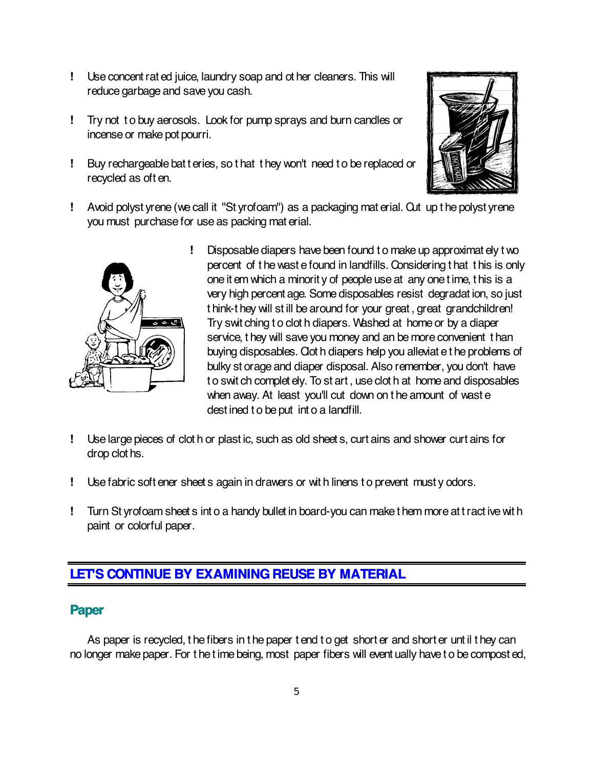- **!** Use concent rat ed juice, laundry soap and ot her cleaners. This will reduce garbage and save you cash.
- **!** Try not t o buy aerosols. Look for pump sprays and burn candles or incense or make pot pourri.
- **!** Buy rechargeable bat t eries, so t hat t hey won't need t o be replaced or recycled as oft en.



**!** Avoid polyst yrene (we call it "St yrofoam") as a packaging mat erial. Cut up t he polyst yrene you must purchase for use as packing mat erial.



- **!** Disposable diapers have been found t o make up approximat ely t wo percent of t he wast e found in landfills. Considering t hat t his is only one it em which a minorit y of people use at any one t ime, t his is a very high percent age. Some disposables resist degradat ion, so just t hink-t hey will st ill be around for your great , great grandchildren! Try swit ching t o clot h diapers. Washed at home or by a diaper service, t hey will save you money and an be more convenient t han buying disposables. Clot h diapers help you alleviat e t he problems of bulky st orage and diaper disposal. Also remember, you don't have t o swit ch complet ely. To st art , use clot h at home and disposables when away. At least you'll cut down on the amount of waste dest ined t o be put int o a landfill.
- **!** Use large pieces of clot h or plast ic, such as old sheet s, curt ains and shower curt ains for drop clot hs.
- **!** Use fabric soft ener sheet s again in drawers or wit h linens t o prevent must y odors.
- **!** Turn St yrofoam sheet s int o a handy bullet in board-you can make t hem more at t ract ive wit h paint or colorful paper.

#### LET'S CONTINUE BY EXAMINING REUSE BY MATERIAL

#### **Paper**

As paper is recycled, the fibers in the paper t end to get short er and short er until they can no longer make paper. For t he t ime being, most paper fibers will event ually have t o be compost ed,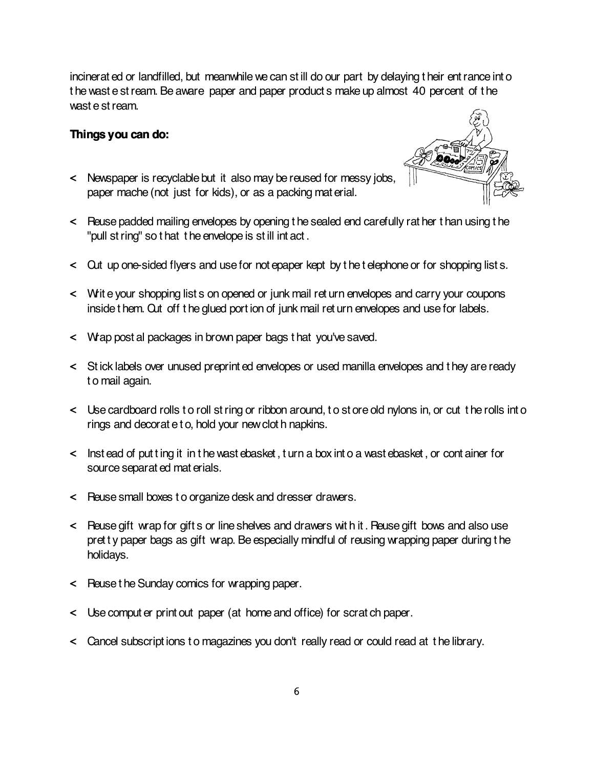incinerat ed or landfilled, but meanwhile we can st ill do our part by delaying t heir ent rance int o t he wast e st ream. Be aware paper and paper product s make up almost 40 percent of t he wast e st ream.

#### **Things you can do:**



- **<** Newspaper is recyclable but it also may be reused for messy jobs, paper mache (not just for kids), or as a packing mat erial.
- **<** Reuse padded mailing envelopes by opening t he sealed end carefully rat her t han using t he "pull st ring" so t hat t he envelope is st ill int act .
- **<** Cut up one-sided flyers and use for not epaper kept by t he t elephone or for shopping list s.
- **<** Writ e your shopping list s on opened or junk mail ret urn envelopes and carry your coupons inside t hem. Cut off t he glued port ion of junk mail ret urn envelopes and use for labels.
- **<** Wrap post al packages in brown paper bags t hat you've saved.
- **<** St ick labels over unused preprint ed envelopes or used manilla envelopes and t hey are ready t o mail again.
- **<** Use cardboard rolls t o roll st ring or ribbon around, t o st ore old nylons in, or cut t he rolls int o rings and decorat e t o, hold your new clot h napkins.
- **<** Inst ead of put t ing it in t he wast ebasket , t urn a box int o a wast ebasket , or cont ainer for source separat ed mat erials.
- **<** Reuse small boxes t o organize desk and dresser drawers.
- **<** Reuse gift wrap for gift s or line shelves and drawers wit h it . Reuse gift bows and also use pret ty paper bags as gift wrap. Be especially mindful of reusing wrapping paper during the holidays.
- **<** Reuse t he Sunday comics for wrapping paper.
- **<** Use comput er print out paper (at home and office) for scrat ch paper.
- **<** Cancel subscript ions t o magazines you don't really read or could read at t he library.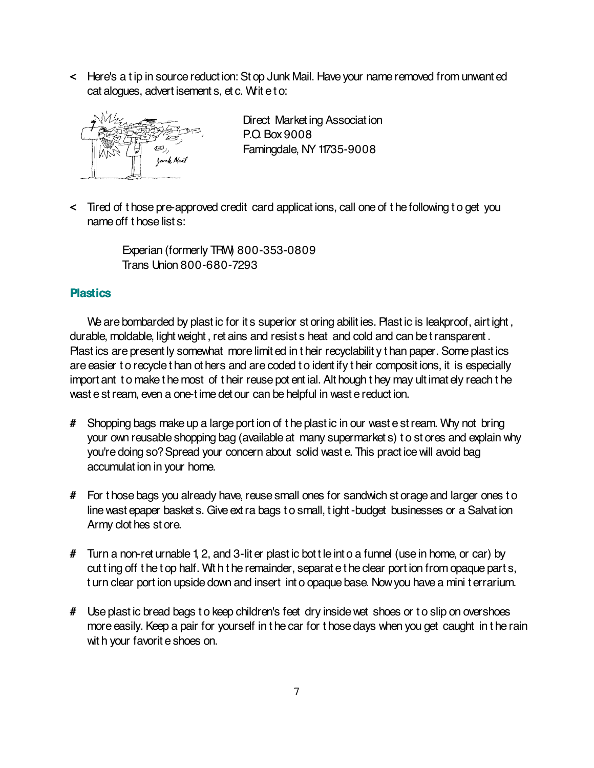**<** Here's a t ip in source reduct ion: St op Junk Mail. Have your name removed from unwant ed cat alogues, advert isement s, et c. Writ e t o:



Direct Market ing Associat ion P.O. Box 9008 Famingdale, NY 11735-9008

**<** Tired of t hose pre-approved credit card applicat ions, call one of t he following t o get you name off t hose list s:

> Experian (formerly TRW) 800-353-0809 Trans Union 800-680-7293

#### **Plastics**

We are bombarded by plast ic for it s superior st oring abilit ies. Plast ic is leakproof, airt ight, durable, moldable, light weight , ret ains and resist s heat and cold and can be t ransparent . Plast ics are present ly somewhat more limit ed in t heir recyclabilit y t han paper. Some plast ics are easier t o recycle t han ot hers and are coded t o ident ify t heir composit ions, it is especially import ant t o make t he most of t heir reuse pot ent ial. Alt hough t hey may ult imat ely reach t he wast e st ream, even a one-t ime det our can be helpful in wast e reduct ion.

- **#** Shopping bags make up a large port ion of t he plast ic in our wast e st ream. Why not bring your own reusable shopping bag (available at many supermarket s) t o st ores and explain why you're doing so? Spread your concern about solid wast e. This pract ice will avoid bag accumulat ion in your home.
- **#** For t hose bags you already have, reuse small ones for sandwich st orage and larger ones t o line wast epaper basket s. Give ext ra bags t o small, t ight -budget businesses or a Salvat ion Army clot hes st ore.
- **#** Turn a non-ret urnable 1, 2, and 3-lit er plast ic bot t le int o a funnel (use in home, or car) by cut t ing off t he t op half. Wit h t he remainder, separat e t he clear port ion from opaque part s, t urn clear port ion upside down and insert int o opaque base. Now you have a mini t errarium.
- **#** Use plast ic bread bags t o keep children's feet dry inside wet shoes or t o slip on overshoes more easily. Keep a pair for yourself in t he car for t hose days when you get caught in t he rain wit h your favorit e shoes on.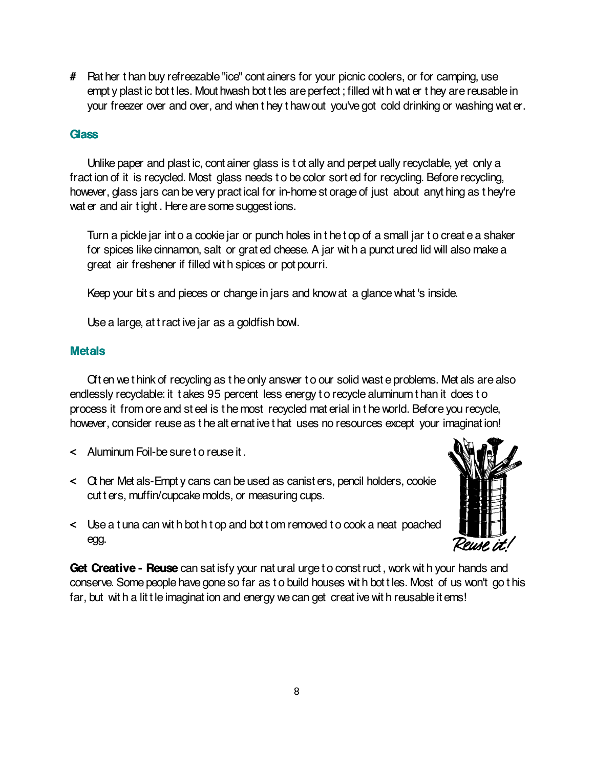**#** Rat her t han buy refreezable "ice" cont ainers for your picnic coolers, or for camping, use empt y plast ic bot t les. Mout hwash bot t les are perfect ; filled wit h wat er t hey are reusable in your freezer over and over, and when t hey t haw out you've got cold drinking or washing wat er.

#### **Glass**

Unlike paper and plast ic, cont ainer glass is t ot ally and perpet ually recyclable, yet only a fract ion of it is recycled. Most glass needs t o be color sort ed for recycling. Before recycling, however, glass jars can be very pract ical for in-home st orage of just about anyt hing as t hey're wat er and air t ight . Here are some suggest ions.

Turn a pickle jar int o a cookie jar or punch holes in t he t op of a small jar t o creat e a shaker for spices like cinnamon, salt or grat ed cheese. A jar wit h a punct ured lid will also make a great air freshener if filled wit h spices or pot pourri.

Keep your bit s and pieces or change in jars and know at a glance what 's inside.

Use a large, at t ract ive jar as a goldfish bowl.

#### **Metals**

Oft en we t hink of recycling as t he only answer t o our solid wast e problems. Met als are also endlessly recyclable: it t akes 95 percent less energy t o recycle aluminum t han it does t o process it from ore and st eel is t he most recycled mat erial in t he world. Before you recycle, however, consider reuse as t he alt ernat ive t hat uses no resources except your imaginat ion!

- **<** Aluminum Foil-be sure t o reuse it .
- **<** Ot her Met als-Empt y cans can be used as canist ers, pencil holders, cookie cut t ers, muffin/cupcake molds, or measuring cups.
- **<** Use a t una can wit h bot h t op and bot t om removed t o cook a neat poached egg.



**Get Creative - Reuse** can sat isfy your nat ural urge t o const ruct , work wit h your hands and conserve. Some people have gone so far as t o build houses wit h bot t les. Most of us won't go t his far, but with a lit t le imaginat ion and energy we can get creat ive with reusable it ems!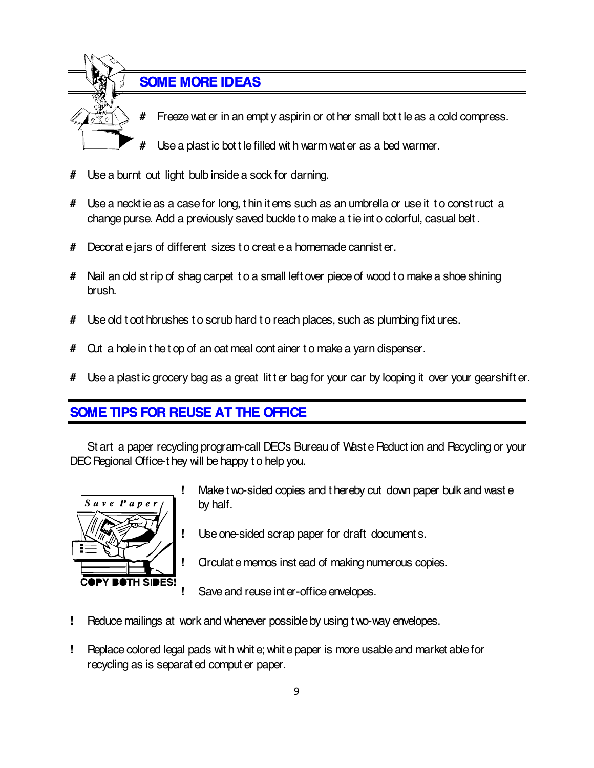

## **SOME MORE IDEAS**

- **#** Freeze wat er in an empt y aspirin or ot her small bot t le as a cold compress.
- Use a plast ic bot t le filled with warm wat er as a bed warmer.
- **#** Use a burnt out light bulb inside a sock for darning.
- **#** Use a neckt ie as a case for long, t hin it ems such as an umbrella or use it t o const ruct a change purse. Add a previously saved buckle t o make a t ie int o colorful, casual belt .
- **#** Decorat e jars of different sizes t o creat e a homemade cannist er.
- **#** Nail an old st rip of shag carpet t o a small left over piece of wood t o make a shoe shining brush.
- **#** Use old t oot hbrushes t o scrub hard t o reach places, such as plumbing fixt ures.
- **#** Cut a hole in t he t op of an oat meal cont ainer t o make a yarn dispenser.
- # Use a plast ic grocery bag as a great litter bag for your car by looping it over your gearshifter.

## **SOME TIPS FOR REUSE AT THE OFFICE**

St art a paper recycling program-call DEC's Bureau of Wast e Reduct ion and Recycling or your DEC Regional Office-t hey will be happy t o help you.



- **!** Make t wo-sided copies and t hereby cut down paper bulk and wast e by half.
- **!** Use one-sided scrap paper for draft document s.
- **!** Circulat e memos inst ead of making numerous copies.

**!** Save and reuse int er-office envelopes.

- **!** Reduce mailings at work and whenever possible by using t wo-way envelopes.
- **!** Replace colored legal pads wit h whit e; whit e paper is more usable and market able for recycling as is separat ed comput er paper.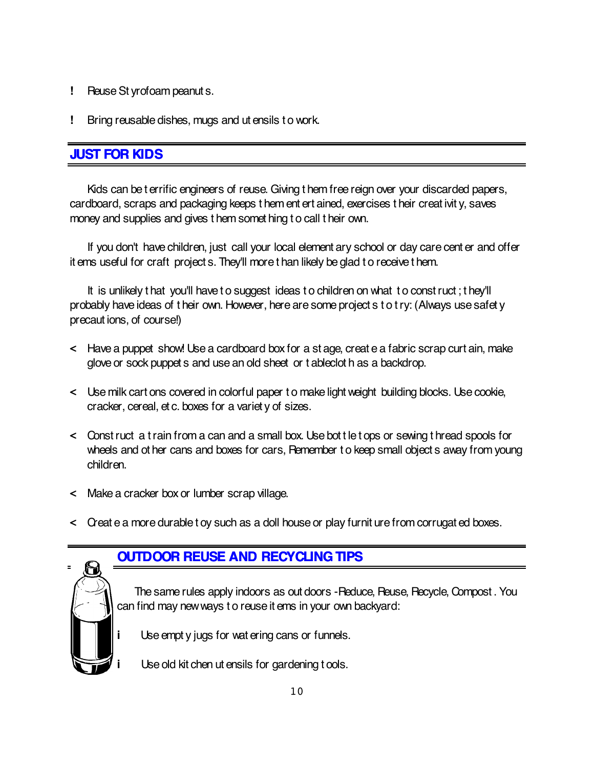- **!** Reuse St yrofoam peanut s.
- **!** Bring reusable dishes, mugs and ut ensils t o work.

#### **JUST FOR KIDS**

Kids can be t errific engineers of reuse. Giving t hem free reign over your discarded papers, cardboard, scraps and packaging keeps t hem ent ert ained, exercises t heir creat ivit y, saves money and supplies and gives t hem somet hing t o call t heir own.

If you don't have children, just call your local element ary school or day care cent er and offer it ems useful for craft project s. They'll more t han likely be glad t o receive t hem.

It is unlikely t hat you'll have t o suggest ideas t o children on what t o const ruct ; t hey'll probably have ideas of t heir own. However, here are some project s t o t ry: (Always use safet y precaut ions, of course!)

- **<** Have a puppet show! Use a cardboard box for a st age, creat e a fabric scrap curt ain, make glove or sock puppet s and use an old sheet or t ableclot h as a backdrop.
- **<** Use milk cart ons covered in colorful paper t o make light weight building blocks. Use cookie, cracker, cereal, et c. boxes for a variet y of sizes.
- **<** Const ruct a t rain from a can and a small box. Use bot t le t ops or sewing t hread spools for wheels and ot her cans and boxes for cars, Remember to keep small object s away from young children.
- **<** Make a cracker box or lumber scrap village.
- **<** Creat e a more durable t oy such as a doll house or play furnit ure from corrugat ed boxes.



## **OUTDOOR REUSE AND RECYCLING TIPS**

The same rules apply indoors as out doors -Reduce, Reuse, Recycle, Compost . You can find may new ways t o reuse it ems in your own backyard:

- Use empt y jugs for wat ering cans or funnels.
- **i** Use old kit chen ut ensils for gardening t ools.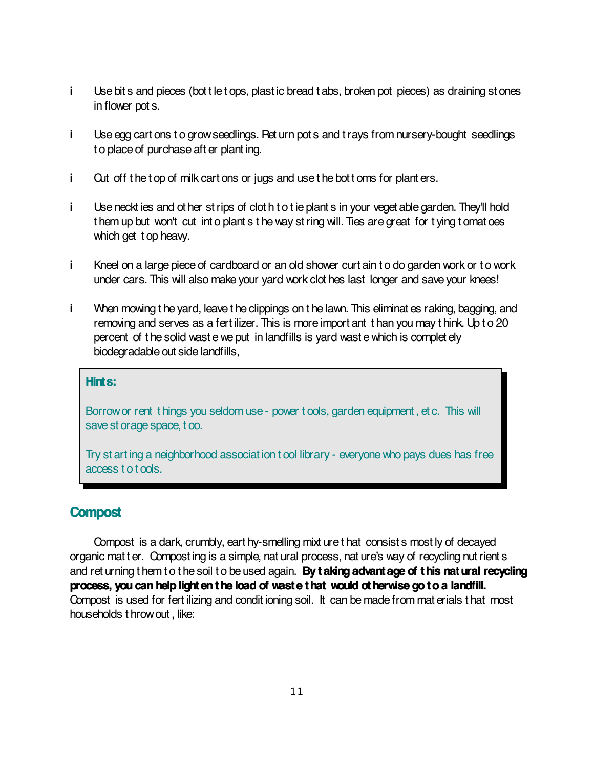- **i** Use bit s and pieces (bot t le t ops, plast ic bread t abs, broken pot pieces) as draining st ones in flower pot s.
- **i** Use egg cart ons t o grow seedlings. Ret urn pot s and t rays from nursery-bought seedlings t o place of purchase aft er plant ing.
- **i** Cut off t he t op of milk cart ons or jugs and use t he bot t oms for plant ers.
- **i** Use neckt ies and ot her st rips of clot h t o t ie plant s in your veget able garden. They'll hold t hem up but won't cut int o plant s t he way st ring will. Ties are great for t ying t omat oes which get top heavy.
- **i** Kneel on a large piece of cardboard or an old shower curt ain t o do garden work or t o work under cars. This will also make your yard work clot hes last longer and save your knees!
- **i** When mowing t he yard, leave t he clippings on t he lawn. This eliminat es raking, bagging, and removing and serves as a fert ilizer. This is more import ant t han you may t hink. Up t o 20 percent of t he solid wast e we put in landfills is yard wast e which is complet ely biodegradable out side landfills,

#### **Hints:**

Borrow or rent t hings you seldom use - power t ools, garden equipment , et c. This will save st orage space, t oo.

Try st art ing a neighborhood associat ion t ool library - everyone who pays dues has free access t o t ools.

#### **Compost**

Compost is a dark, crumbly, eart hy-smelling mixt ure t hat consist s most ly of decayed organic mat t er. Compost ing is a simple, nat ural process, nat ure's way of recycling nut rient s and ret urning t hem t o t he soil t o be used again. **By taking advantage of this natural recycling** process, you can help lighten the load of waste that would otherwise go to a landfill. Compost is used for fert ilizing and condit ioning soil. It can be made from mat erials t hat most households t hrow out , like: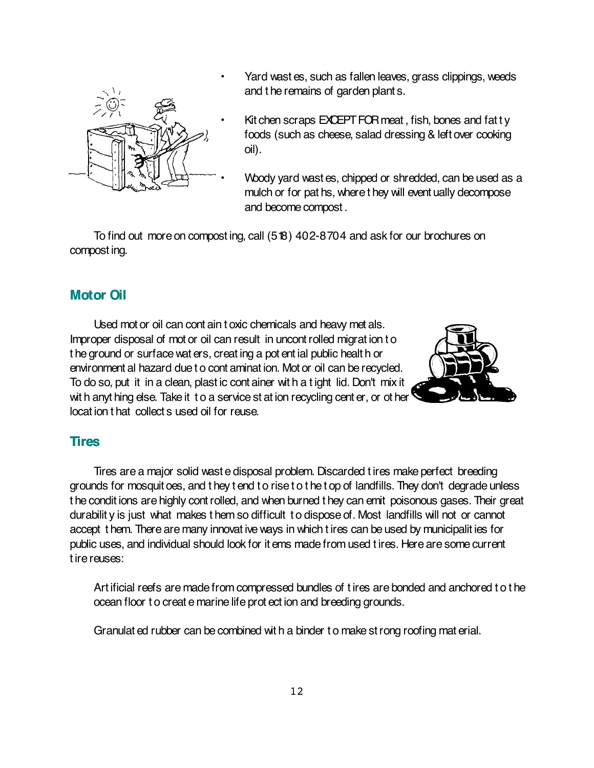

- Yard wast es, such as fallen leaves, grass clippings, weeds and t he remains of garden plant s.
- Kit chen scraps EXCEPT FOR meat , fish, bones and fat t y foods (such as cheese, salad dressing & left over cooking oil).
	- Woody yard wast es, chipped or shredded, can be used as a mulch or for pat hs, where t hey will event ually decompose and become compost .

To find out more on compost ing, call (518) 402-8704 and ask for our brochures on compost ing.

#### **Motor Oil**

Used mot or oil can cont ain t oxic chemicals and heavy met als. Improper disposal of mot or oil can result in uncont rolled migrat ion t o t he ground or surface wat ers, creat ing a pot ent ial public healt h or environment al hazard due t o cont aminat ion. Mot or oil can be recycled. To do so, put it in a clean, plast ic cont ainer wit h a t ight lid. Don't mix it wit h anyt hing else. Take it to a service st at ion recycling cent er, or ot her locat ion t hat collect s used oil for reuse.



#### **Tires**

Tires are a major solid wast e disposal problem. Discarded t ires make perfect breeding grounds for mosquit oes, and t hey t end t o rise t o t he t op of landfills. They don't degrade unless t he condit ions are highly cont rolled, and when burned t hey can emit poisonous gases. Their great durabilit y is just what makes t hem so difficult t o dispose of. Most landfills will not or cannot accept t hem. There are many innovat ive ways in which t ires can be used by municipalit ies for public uses, and individual should look for it ems made from used t ires. Here are some current t ire reuses:

Art ificial reefs are made from compressed bundles of t ires are bonded and anchored t o t he ocean floor t o creat e marine life prot ect ion and breeding grounds.

Granulat ed rubber can be combined wit h a binder t o make st rong roofing mat erial.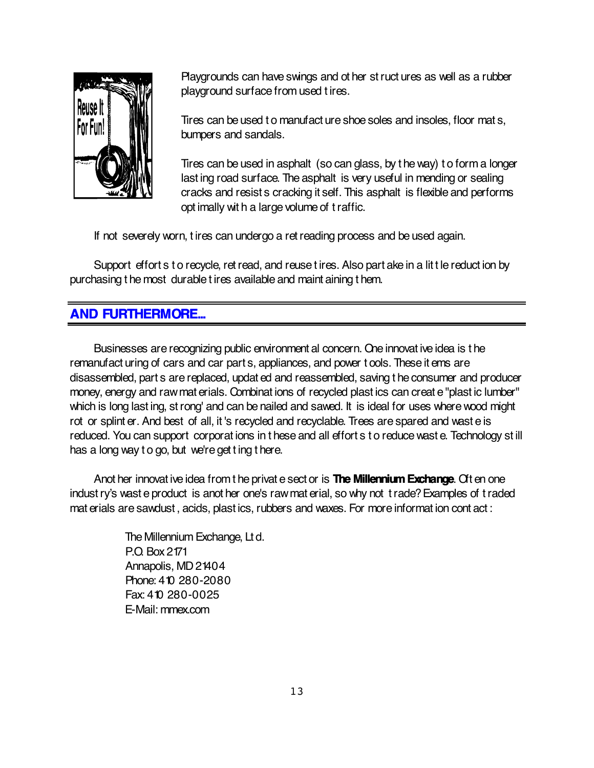

Playgrounds can have swings and ot her st ruct ures as well as a rubber playground surface from used t ires.

Tires can be used t o manufact ure shoe soles and insoles, floor mat s, bumpers and sandals.

Tires can be used in asphalt (so can glass, by t he way) t o form a longer last ing road surface. The asphalt is very useful in mending or sealing cracks and resist s cracking it self. This asphalt is flexible and performs opt imally wit h a large volume of t raffic.

If not severely worn, t ires can undergo a ret reading process and be used again.

Support effort s t o recycle, ret read, and reuse tires. Also part ake in a lit t le reduction by purchasing t he most durable t ires available and maint aining t hem.

## **AND FURTHERMORE...**

Businesses are recognizing public environment al concern. One innovat ive idea is t he remanufact uring of cars and car part s, appliances, and power t ools. These it ems are disassembled, part s are replaced, updat ed and reassembled, saving t he consumer and producer money, energy and raw mat erials. Combinat ions of recycled plast ics can creat e "plast ic lumber" which is long last ing, st rong' and can be nailed and sawed. It is ideal for uses where wood might rot or splint er. And best of all, it 's recycled and recyclable. Trees are spared and wast e is reduced. You can support corporat ions in t hese and all effort s t o reduce wast e. Technology st ill has a long way t o go, but we're get t ing t here.

Anot her innovat ive idea from t he privat e sect or is **The Millennium Exchange**. Oft en one indust ry's wast e product is anot her one's raw mat erial, so why not t rade? Examples of t raded mat erials are sawdust , acids, plast ics, rubbers and waxes. For more informat ion cont act :

> The Millennium Exchange, Lt d. P.O. Box 2171 Annapolis, MD 21404 Phone: 410 280-2080 Fax: 410 280-0025 E-Mail: mmex.com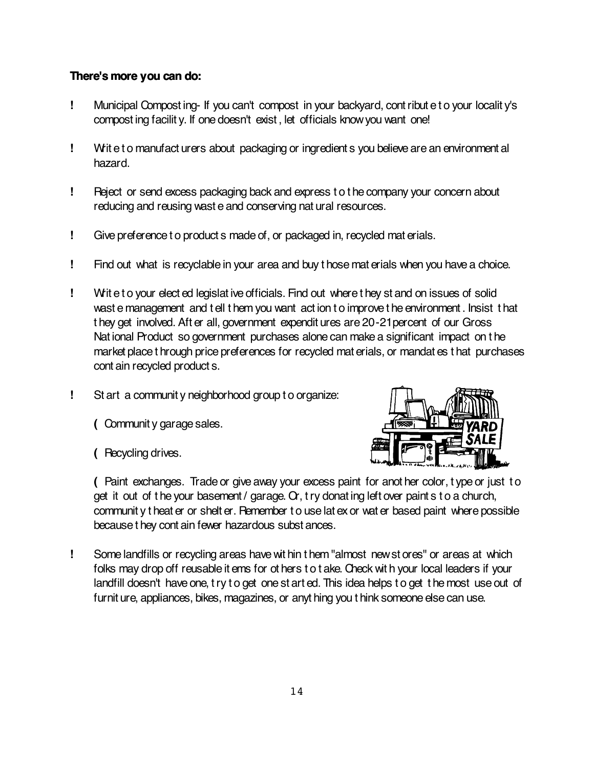#### **There's more you can do:**

- **!** Municipal Compost ing- If you can't compost in your backyard, cont ribut e t o your localit y's compost ing facilit y. If one doesn't exist , let officials know you want one!
- **!** Writ e t o manufact urers about packaging or ingredient s you believe are an environment al hazard.
- **!** Reject or send excess packaging back and express t o t he company your concern about reducing and reusing wast e and conserving nat ural resources.
- **!** Give preference t o product s made of, or packaged in, recycled mat erials.
- **!** Find out what is recyclable in your area and buy t hose mat erials when you have a choice.
- **!** Write to your elect ed legislat ive officials. Find out where they st and on issues of solid wast e management and t ell t hem you want act ion t o improve t he environment . Insist t hat t hey get involved. Aft er all, government expendit ures are 20-21 percent of our Gross Nat ional Product so government purchases alone can make a significant impact on t he market place t hrough price preferences for recycled mat erials, or mandat es t hat purchases cont ain recycled product s.
- **!** St art a communit y neighborhood group t o organize:
	- **(** Communit y garage sales.
	- **(** Recycling drives.



**(** Paint exchanges. Trade or give away your excess paint for anot her color, t ype or just t o get it out of t he your basement / garage. Or, t ry donat ing left over paint s t o a church, communit y t heat er or shelt er. Remember t o use lat ex or wat er based paint where possible because t hey cont ain fewer hazardous subst ances.

**!** Some landfills or recycling areas have wit hin t hem "almost new st ores" or areas at which folks may drop off reusable it ems for ot hers t o t ake. Check wit h your local leaders if your landfill doesn't have one, try to get one started. This idea helps to get the most use out of furnit ure, appliances, bikes, magazines, or anyt hing you t hink someone else can use.